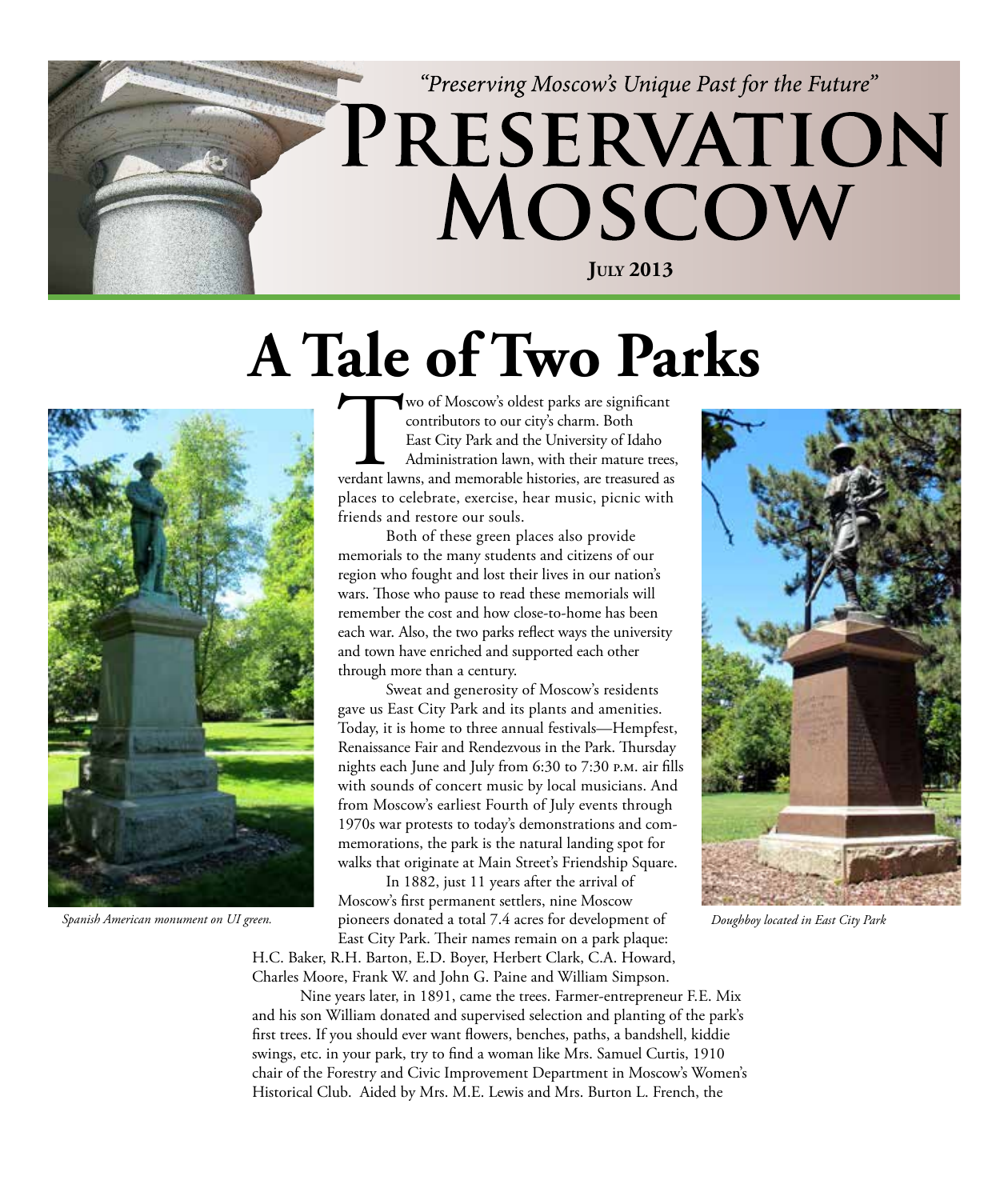

### **A Tale of Two Parks**



Two of Moscow's oldest parks are significant<br>
contributors to our city's charm. Both<br>
East City Park and the University of Idaho<br>
Administration lawn, with their mature trees,<br>
verdant lawns, and memorable histories, are t contributors to our city's charm. Both East City Park and the University of Idaho Administration lawn, with their mature trees, places to celebrate, exercise, hear music, picnic with friends and restore our souls.

Both of these green places also provide memorials to the many students and citizens of our region who fought and lost their lives in our nation's wars. Those who pause to read these memorials will remember the cost and how close-to-home has been each war. Also, the two parks reflect ways the university and town have enriched and supported each other through more than a century.

Sweat and generosity of Moscow's residents gave us East City Park and its plants and amenities. Today, it is home to three annual festivals—Hempfest, Renaissance Fair and Rendezvous in the Park. Thursday nights each June and July from 6:30 to 7:30 p.m. air fills with sounds of concert music by local musicians. And from Moscow's earliest Fourth of July events through 1970s war protests to today's demonstrations and commemorations, the park is the natural landing spot for walks that originate at Main Street's Friendship Square.

In 1882, just 11 years after the arrival of Moscow's first permanent settlers, nine Moscow pioneers donated a total 7.4 acres for development of *Spanish American monument on UI green. Doughboy located in East City Park*East City Park. Their names remain on a park plaque:

H.C. Baker, R.H. Barton, E.D. Boyer, Herbert Clark, C.A. Howard, Charles Moore, Frank W. and John G. Paine and William Simpson.

Nine years later, in 1891, came the trees. Farmer-entrepreneur F.E. Mix and his son William donated and supervised selection and planting of the park's first trees. If you should ever want flowers, benches, paths, a bandshell, kiddie swings, etc. in your park, try to find a woman like Mrs. Samuel Curtis, 1910 chair of the Forestry and Civic Improvement Department in Moscow's Women's Historical Club. Aided by Mrs. M.E. Lewis and Mrs. Burton L. French, the

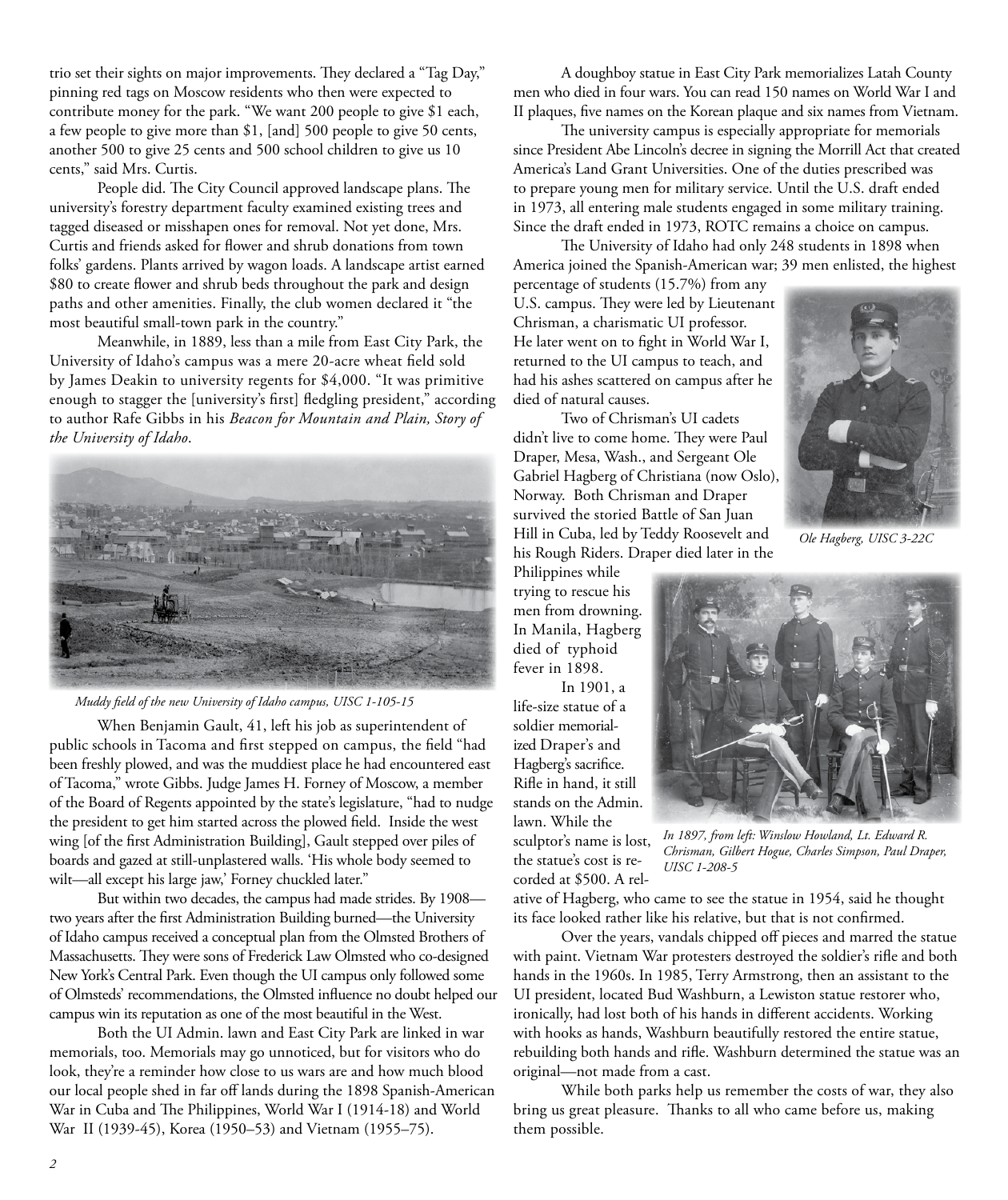trio set their sights on major improvements. They declared a "Tag Day," pinning red tags on Moscow residents who then were expected to contribute money for the park. "We want 200 people to give \$1 each, a few people to give more than \$1, [and] 500 people to give 50 cents, another 500 to give 25 cents and 500 school children to give us 10 cents," said Mrs. Curtis.

People did. The City Council approved landscape plans. The university's forestry department faculty examined existing trees and tagged diseased or misshapen ones for removal. Not yet done, Mrs. Curtis and friends asked for flower and shrub donations from town folks' gardens. Plants arrived by wagon loads. A landscape artist earned \$80 to create flower and shrub beds throughout the park and design paths and other amenities. Finally, the club women declared it "the most beautiful small-town park in the country."

Meanwhile, in 1889, less than a mile from East City Park, the University of Idaho's campus was a mere 20-acre wheat field sold by James Deakin to university regents for \$4,000. "It was primitive enough to stagger the [university's first] fledgling president," according to author Rafe Gibbs in his *Beacon for Mountain and Plain, Story of the University of Idaho*.



*Muddy field of the new University of Idaho campus, UISC 1-105-15*

When Benjamin Gault, 41, left his job as superintendent of public schools in Tacoma and first stepped on campus, the field "had been freshly plowed, and was the muddiest place he had encountered east of Tacoma," wrote Gibbs. Judge James H. Forney of Moscow, a member of the Board of Regents appointed by the state's legislature, "had to nudge the president to get him started across the plowed field. Inside the west wing [of the first Administration Building], Gault stepped over piles of boards and gazed at still-unplastered walls. 'His whole body seemed to wilt—all except his large jaw,' Forney chuckled later."

But within two decades, the campus had made strides. By 1908 two years after the first Administration Building burned—the University of Idaho campus received a conceptual plan from the Olmsted Brothers of Massachusetts. They were sons of Frederick Law Olmsted who co-designed New York's Central Park. Even though the UI campus only followed some of Olmsteds' recommendations, the Olmsted influence no doubt helped our campus win its reputation as one of the most beautiful in the West.

Both the UI Admin. lawn and East City Park are linked in war memorials, too. Memorials may go unnoticed, but for visitors who do look, they're a reminder how close to us wars are and how much blood our local people shed in far off lands during the 1898 Spanish-American War in Cuba and The Philippines, World War I (1914-18) and World War II (1939-45), Korea (1950–53) and Vietnam (1955–75).

A doughboy statue in East City Park memorializes Latah County men who died in four wars. You can read 150 names on World War I and II plaques, five names on the Korean plaque and six names from Vietnam.

The university campus is especially appropriate for memorials since President Abe Lincoln's decree in signing the Morrill Act that created America's Land Grant Universities. One of the duties prescribed was to prepare young men for military service. Until the U.S. draft ended in 1973, all entering male students engaged in some military training. Since the draft ended in 1973, ROTC remains a choice on campus.

The University of Idaho had only 248 students in 1898 when America joined the Spanish-American war; 39 men enlisted, the highest

percentage of students (15.7%) from any U.S. campus. They were led by Lieutenant Chrisman, a charismatic UI professor. He later went on to fight in World War I, returned to the UI campus to teach, and had his ashes scattered on campus after he died of natural causes.

Two of Chrisman's UI cadets didn't live to come home. They were Paul Draper, Mesa, Wash., and Sergeant Ole Gabriel Hagberg of Christiana (now Oslo), Norway. Both Chrisman and Draper survived the storied Battle of San Juan Hill in Cuba, led by Teddy Roosevelt and his Rough Riders. Draper died later in the

Philippines while trying to rescue his men from drowning. In Manila, Hagberg died of typhoid fever in 1898.

In 1901, a life-size statue of a soldier memorialized Draper's and Hagberg's sacrifice. Rifle in hand, it still stands on the Admin. lawn. While the sculptor's name is lost, the statue's cost is recorded at \$500. A rel-



*Ole Hagberg, UISC 3-22C*



*In 1897, from left: Winslow Howland, Lt. Edward R. Chrisman, Gilbert Hogue, Charles Simpson, Paul Draper, UISC 1-208-5*

ative of Hagberg, who came to see the statue in 1954, said he thought its face looked rather like his relative, but that is not confirmed.

Over the years, vandals chipped off pieces and marred the statue with paint. Vietnam War protesters destroyed the soldier's rifle and both hands in the 1960s. In 1985, Terry Armstrong, then an assistant to the UI president, located Bud Washburn, a Lewiston statue restorer who, ironically, had lost both of his hands in different accidents. Working with hooks as hands, Washburn beautifully restored the entire statue, rebuilding both hands and rifle. Washburn determined the statue was an original—not made from a cast.

While both parks help us remember the costs of war, they also bring us great pleasure. Thanks to all who came before us, making them possible.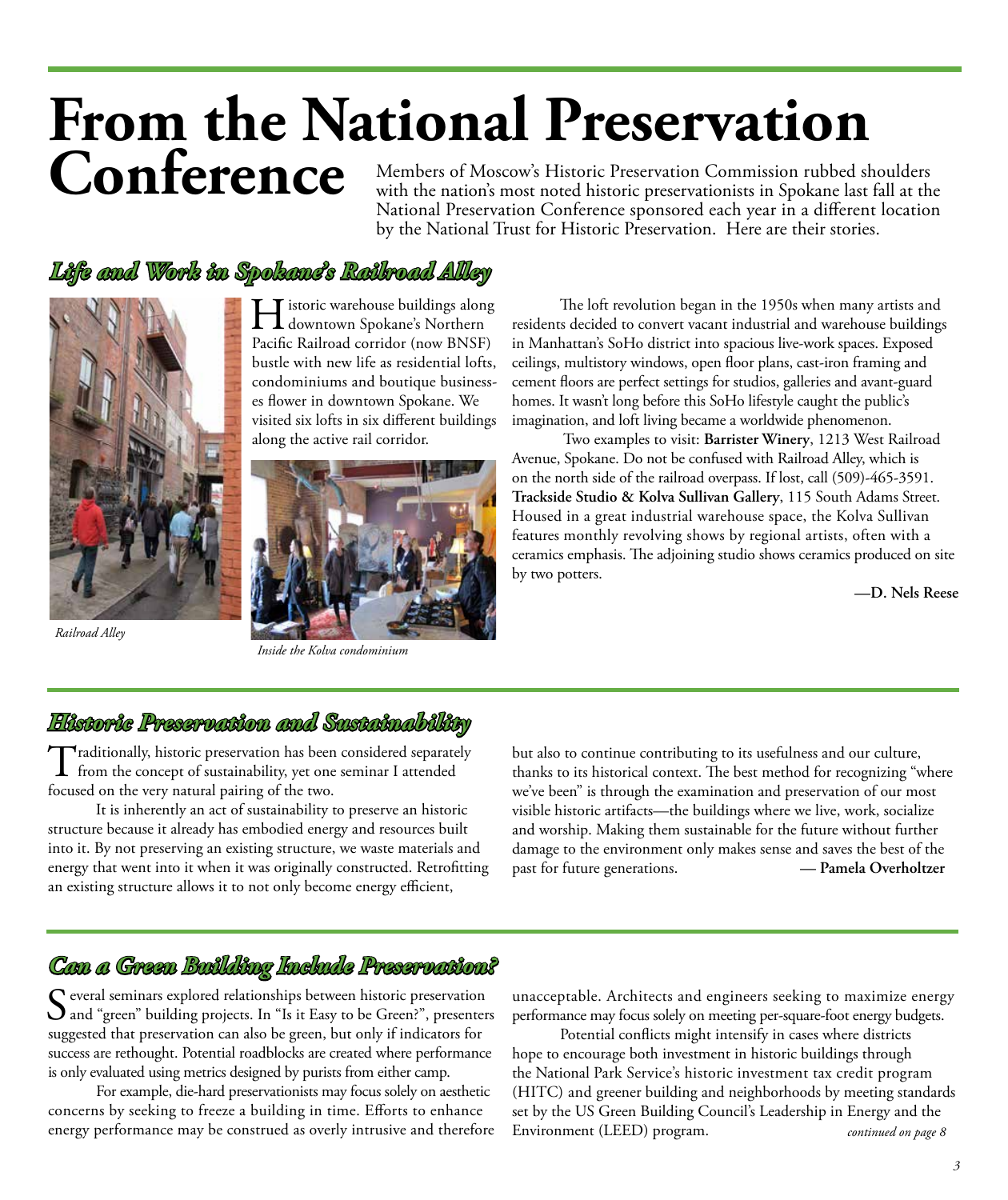### **From the National Preservation Conference** Members of Moscow's Historic Preservation Commission rubbed shoulders

with the nation's most noted historic preservationists in Spokane last fall at the National Preservation Conference sponsored each year in a different location by the National Trust for Historic Preservation. Here are their stories.

#### *Life and Work in Spokane's Railroad Alley*



*Railroad Alley* 

Historic warehouse buildings along downtown Spokane's Northern Pacific Railroad corridor (now BNSF) bustle with new life as residential lofts, condominiums and boutique businesses flower in downtown Spokane. We visited six lofts in six different buildings along the active rail corridor.



*Inside the Kolva condominium*

The loft revolution began in the 1950s when many artists and residents decided to convert vacant industrial and warehouse buildings in Manhattan's SoHo district into spacious live-work spaces. Exposed ceilings, multistory windows, open floor plans, cast-iron framing and cement floors are perfect settings for studios, galleries and avant-guard homes. It wasn't long before this SoHo lifestyle caught the public's imagination, and loft living became a worldwide phenomenon.

 Two examples to visit: **Barrister Winery**, 1213 West Railroad Avenue, Spokane. Do not be confused with Railroad Alley, which is on the north side of the railroad overpass. If lost, call (509)-465-3591. **Trackside Studio & Kolva Sullivan Gallery**, 115 South Adams Street. Housed in a great industrial warehouse space, the Kolva Sullivan features monthly revolving shows by regional artists, often with a ceramics emphasis. The adjoining studio shows ceramics produced on site by two potters.

**—D. Nels Reese**

#### *Historic Preservation and Sustainability*

Traditionally, historic preservation has been considered separately<br>from the concept of sustainability, yet one seminar I attended focused on the very natural pairing of the two.

It is inherently an act of sustainability to preserve an historic structure because it already has embodied energy and resources built into it. By not preserving an existing structure, we waste materials and energy that went into it when it was originally constructed. Retrofitting an existing structure allows it to not only become energy efficient,

but also to continue contributing to its usefulness and our culture, thanks to its historical context. The best method for recognizing "where we've been" is through the examination and preservation of our most visible historic artifacts—the buildings where we live, work, socialize and worship. Making them sustainable for the future without further damage to the environment only makes sense and saves the best of the past for future generations. **— Pamela Overholtzer**

#### *Can a Green Building Include Preservation?*

Several seminars explored relationships between historic preservation<br>and "green" building projects. In "Is it Easy to be Green?", presenters suggested that preservation can also be green, but only if indicators for success are rethought. Potential roadblocks are created where performance is only evaluated using metrics designed by purists from either camp.

For example, die-hard preservationists may focus solely on aesthetic concerns by seeking to freeze a building in time. Efforts to enhance energy performance may be construed as overly intrusive and therefore

unacceptable. Architects and engineers seeking to maximize energy performance may focus solely on meeting per-square-foot energy budgets.

Potential conflicts might intensify in cases where districts hope to encourage both investment in historic buildings through the National Park Service's historic investment tax credit program (HITC) and greener building and neighborhoods by meeting standards set by the US Green Building Council's Leadership in Energy and the Environment (LEED) program. *continued on page 8*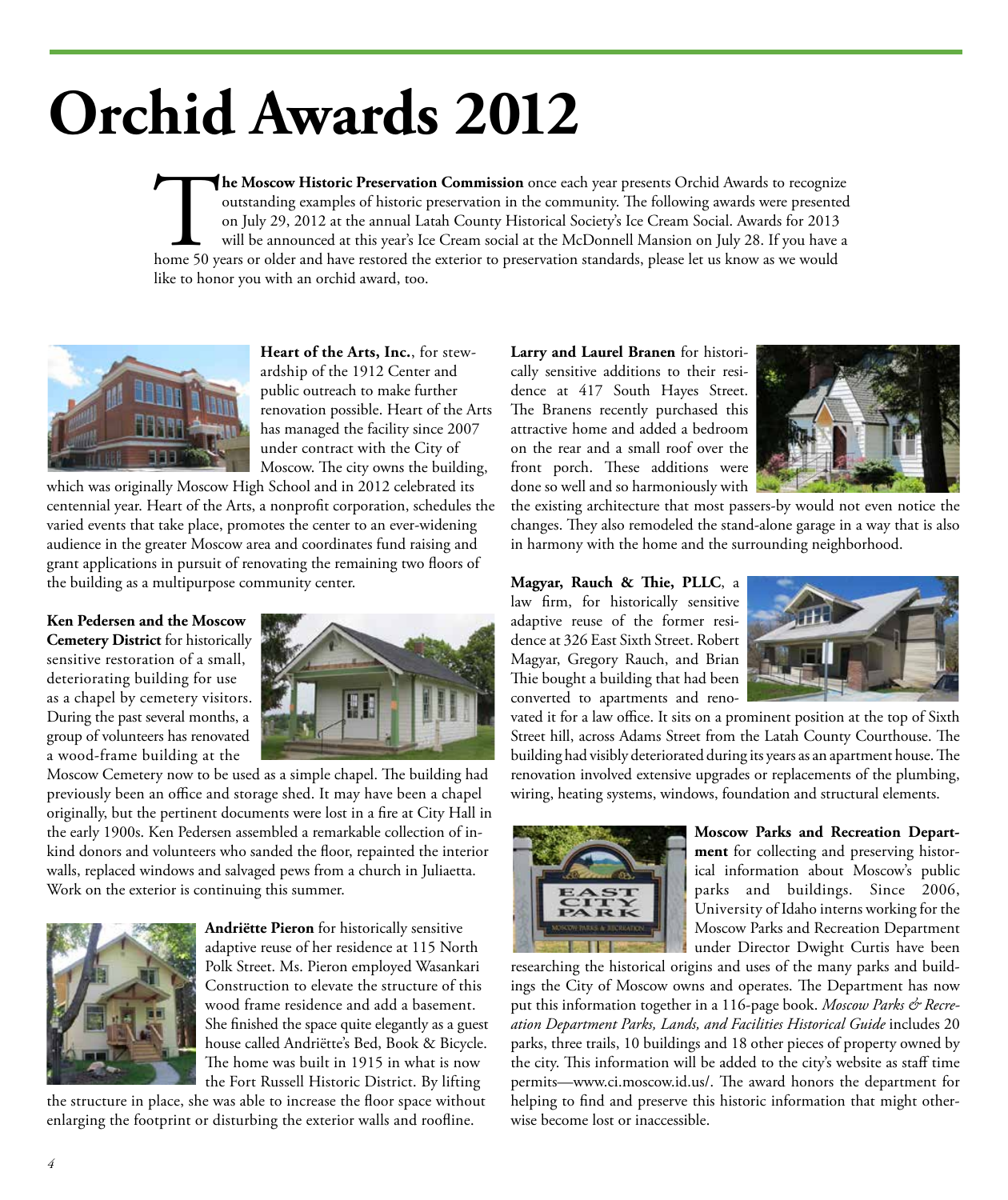## **Orchid Awards 2012**

The Moscow Historic Preservation Commission once each year presents Orchid Awards to recognize outstanding examples of historic preservation in the community. The following awards were presented on July 29, 2012 at the ann outstanding examples of historic preservation in the community. The following awards were presented on July 29, 2012 at the annual Latah County Historical Society's Ice Cream Social. Awards for 2013 will be announced at this year's Ice Cream social at the McDonnell Mansion on July 28. If you have a like to honor you with an orchid award, too.



**Heart of the Arts, Inc.**, for stewardship of the 1912 Center and public outreach to make further renovation possible. Heart of the Arts has managed the facility since 2007 under contract with the City of Moscow. The city owns the building,

which was originally Moscow High School and in 2012 celebrated its centennial year. Heart of the Arts, a nonprofit corporation, schedules the varied events that take place, promotes the center to an ever-widening audience in the greater Moscow area and coordinates fund raising and grant applications in pursuit of renovating the remaining two floors of the building as a multipurpose community center.

#### **Ken Pedersen and the Moscow Cemetery District** for historically

sensitive restoration of a small, deteriorating building for use as a chapel by cemetery visitors. During the past several months, a group of volunteers has renovated a wood-frame building at the



Moscow Cemetery now to be used as a simple chapel. The building had previously been an office and storage shed. It may have been a chapel originally, but the pertinent documents were lost in a fire at City Hall in the early 1900s. Ken Pedersen assembled a remarkable collection of inkind donors and volunteers who sanded the floor, repainted the interior walls, replaced windows and salvaged pews from a church in Juliaetta. Work on the exterior is continuing this summer.



**Andriëtte Pieron** for historically sensitive adaptive reuse of her residence at 115 North Polk Street. Ms. Pieron employed Wasankari Construction to elevate the structure of this wood frame residence and add a basement. She finished the space quite elegantly as a guest house called Andriëtte's Bed, Book & Bicycle. The home was built in 1915 in what is now the Fort Russell Historic District. By lifting

the structure in place, she was able to increase the floor space without enlarging the footprint or disturbing the exterior walls and roofline.

**Larry and Laurel Branen** for historically sensitive additions to their residence at 417 South Hayes Street. The Branens recently purchased this attractive home and added a bedroom on the rear and a small roof over the front porch. These additions were done so well and so harmoniously with



the existing architecture that most passers-by would not even notice the changes. They also remodeled the stand-alone garage in a way that is also in harmony with the home and the surrounding neighborhood.

**Magyar, Rauch & Thie, PLLC**, a law firm, for historically sensitive adaptive reuse of the former residence at 326 East Sixth Street. Robert Magyar, Gregory Rauch, and Brian Thie bought a building that had been converted to apartments and reno-



vated it for a law office. It sits on a prominent position at the top of Sixth Street hill, across Adams Street from the Latah County Courthouse. The building had visibly deteriorated during its years as an apartment house. The renovation involved extensive upgrades or replacements of the plumbing, wiring, heating systems, windows, foundation and structural elements.



**Moscow Parks and Recreation Department** for collecting and preserving historical information about Moscow's public parks and buildings. Since 2006, University of Idaho interns working for the Moscow Parks and Recreation Department under Director Dwight Curtis have been

researching the historical origins and uses of the many parks and buildings the City of Moscow owns and operates. The Department has now put this information together in a 116-page book. *Moscow Parks & Recreation Department Parks, Lands, and Facilities Historical Guide* includes 20 parks, three trails, 10 buildings and 18 other pieces of property owned by the city. This information will be added to the city's website as staff time permits—www.ci.moscow.id.us/. The award honors the department for helping to find and preserve this historic information that might otherwise become lost or inaccessible.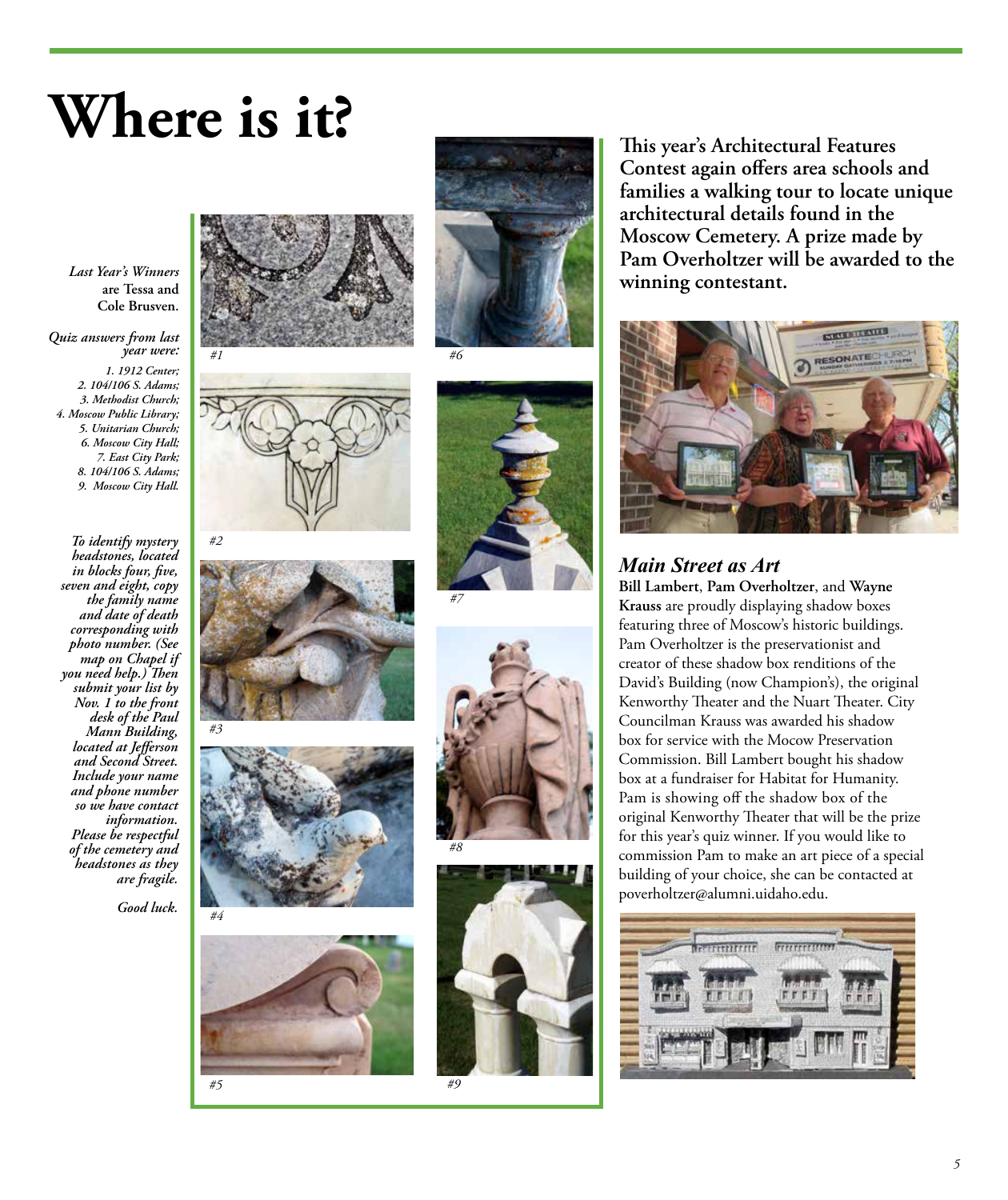### **Where is it?**

*Last Year's Winners*  **are Tessa and Cole Brusven.**

*Quiz answers from last year were:* 

*1. 1912 Center; 2. 104/106 S. Adams; 3. Methodist Church; 4. Moscow Public Library; 5. Unitarian Church; 6. Moscow City Hall; 7. East City Park; 8. 104/106 S. Adams; 9. Moscow City Hall.*

*To identify mystery headstones, located in blocks four, five, seven and eight, copy the family name and date of death corresponding with photo number. (See map on Chapel if you need help.) Then submit your list by Nov. 1 to the front desk of the Paul Mann Building, located at Jefferson and Second Street. Include your name and phone number so we have contact information. Please be respectful of the cemetery and headstones as they are fragile.*

*Good luck.* 





















**This year's Architectural Features Contest again offers area schools and families a walking tour to locate unique architectural details found in the Moscow Cemetery. A prize made by Pam Overholtzer will be awarded to the winning contestant.**



#### *Main Street as Art*

**Bill Lambert**, **Pam Overholtzer**, and **Wayne Krauss** are proudly displaying shadow boxes featuring three of Moscow's historic buildings. Pam Overholtzer is the preservationist and creator of these shadow box renditions of the David's Building (now Champion's), the original Kenworthy Theater and the Nuart Theater. City Councilman Krauss was awarded his shadow box for service with the Mocow Preservation Commission. Bill Lambert bought his shadow box at a fundraiser for Habitat for Humanity. Pam is showing off the shadow box of the original Kenworthy Theater that will be the prize for this year's quiz winner. If you would like to commission Pam to make an art piece of a special building of your choice, she can be contacted at poverholtzer@alumni.uidaho.edu.

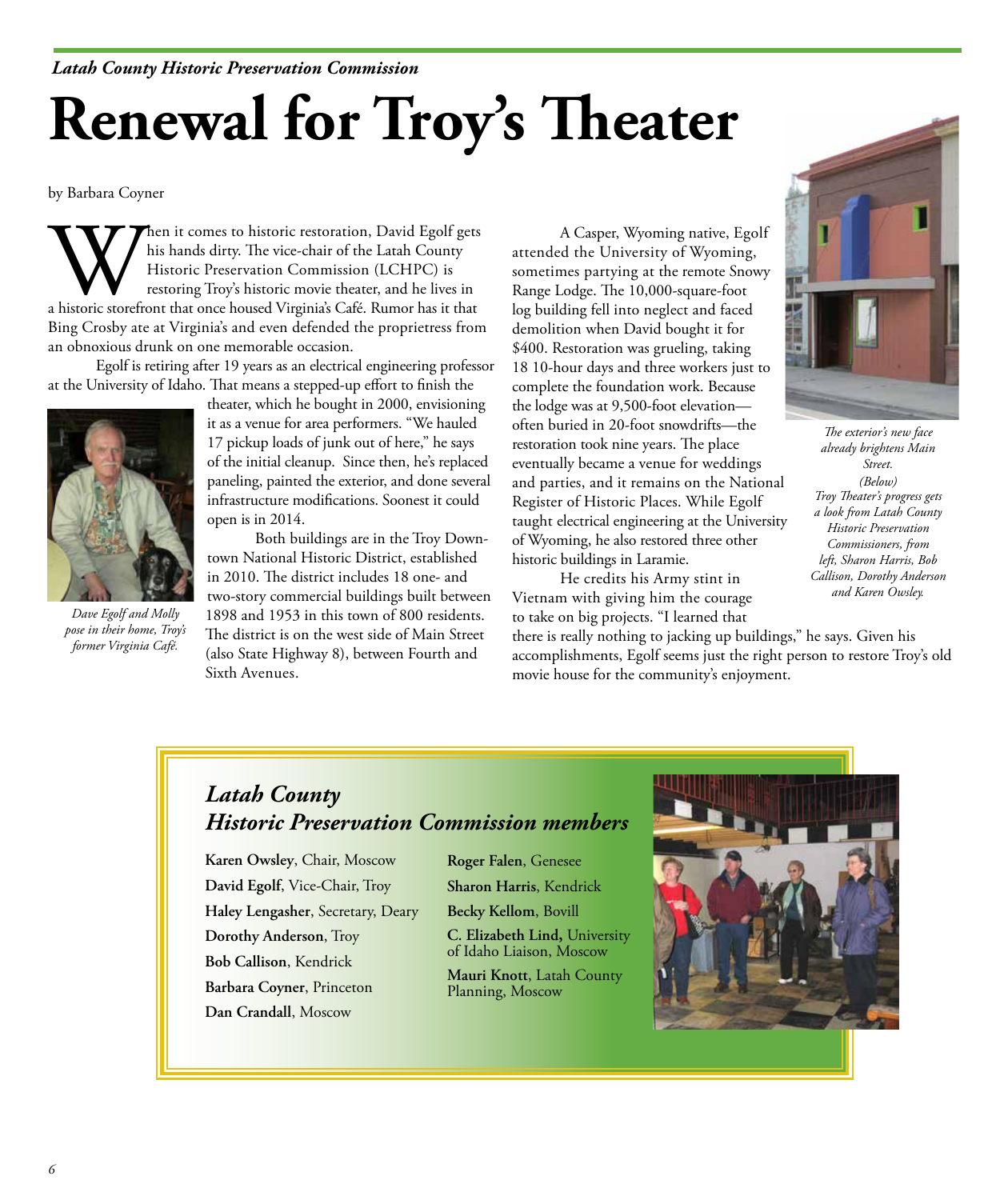#### *Latah County Historic Preservation Commission*

# **Renewal for Troy's Theater**

by Barbara Coyner

Whis hands dirty. The vice-chair of the Latah County<br>
Historic Preservation Commission (LCHPC) is<br>
restoring Troy's historic movie theater, and he lives in<br>
a historic storefront that once housed Virginia's Café. Rumor has his hands dirty. The vice-chair of the Latah County Historic Preservation Commission (LCHPC) is restoring Troy's historic movie theater, and he lives in Bing Crosby ate at Virginia's and even defended the proprietress from an obnoxious drunk on one memorable occasion.

Egolf is retiring after 19 years as an electrical engineering professor at the University of Idaho. That means a stepped-up effort to finish the



*Dave Egolf and Molly pose in their home, Troy's former Virginia Café.* 

theater, which he bought in 2000, envisioning it as a venue for area performers. "We hauled 17 pickup loads of junk out of here," he says of the initial cleanup. Since then, he's replaced paneling, painted the exterior, and done several infrastructure modifications. Soonest it could open is in 2014.

Both buildings are in the Troy Downtown National Historic District, established in 2010. The district includes 18 one- and two-story commercial buildings built between 1898 and 1953 in this town of 800 residents. The district is on the west side of Main Street (also State Highway 8), between Fourth and Sixth Avenues.

A Casper, Wyoming native, Egolf attended the University of Wyoming, sometimes partying at the remote Snowy Range Lodge. The 10,000-square-foot log building fell into neglect and faced demolition when David bought it for \$400. Restoration was grueling, taking 18 10-hour days and three workers just to complete the foundation work. Because the lodge was at 9,500-foot elevation often buried in 20-foot snowdrifts—the restoration took nine years. The place eventually became a venue for weddings and parties, and it remains on the National Register of Historic Places. While Egolf taught electrical engineering at the University of Wyoming, he also restored three other historic buildings in Laramie.

He credits his Army stint in Vietnam with giving him the courage to take on big projects. "I learned that

there is really nothing to jacking up buildings," he says. Given his accomplishments, Egolf seems just the right person to restore Troy's old movie house for the community's enjoyment.



*The exterior's new face already brightens Main Street. (Below) Troy Theater's progress gets a look from Latah County Historic Preservation Commissioners, from left, Sharon Harris, Bob Callison, Dorothy Anderson and Karen Owsley.* 

#### *Latah County Historic Preservation Commission members*

**Karen Owsley**, Chair, Moscow **David Egolf**, Vice-Chair, Troy **Haley Lengasher**, Secretary, Deary **Dorothy Anderson**, Troy **Bob Callison**, Kendrick **Barbara Coyner**, Princeton **Dan Crandall**, Moscow

**Roger Falen**, Genesee **Sharon Harris**, Kendrick

**Becky Kellom**, Bovill

**C. Elizabeth Lind,** University of Idaho Liaison, Moscow

**Mauri Knott**, Latah County Planning, Moscow

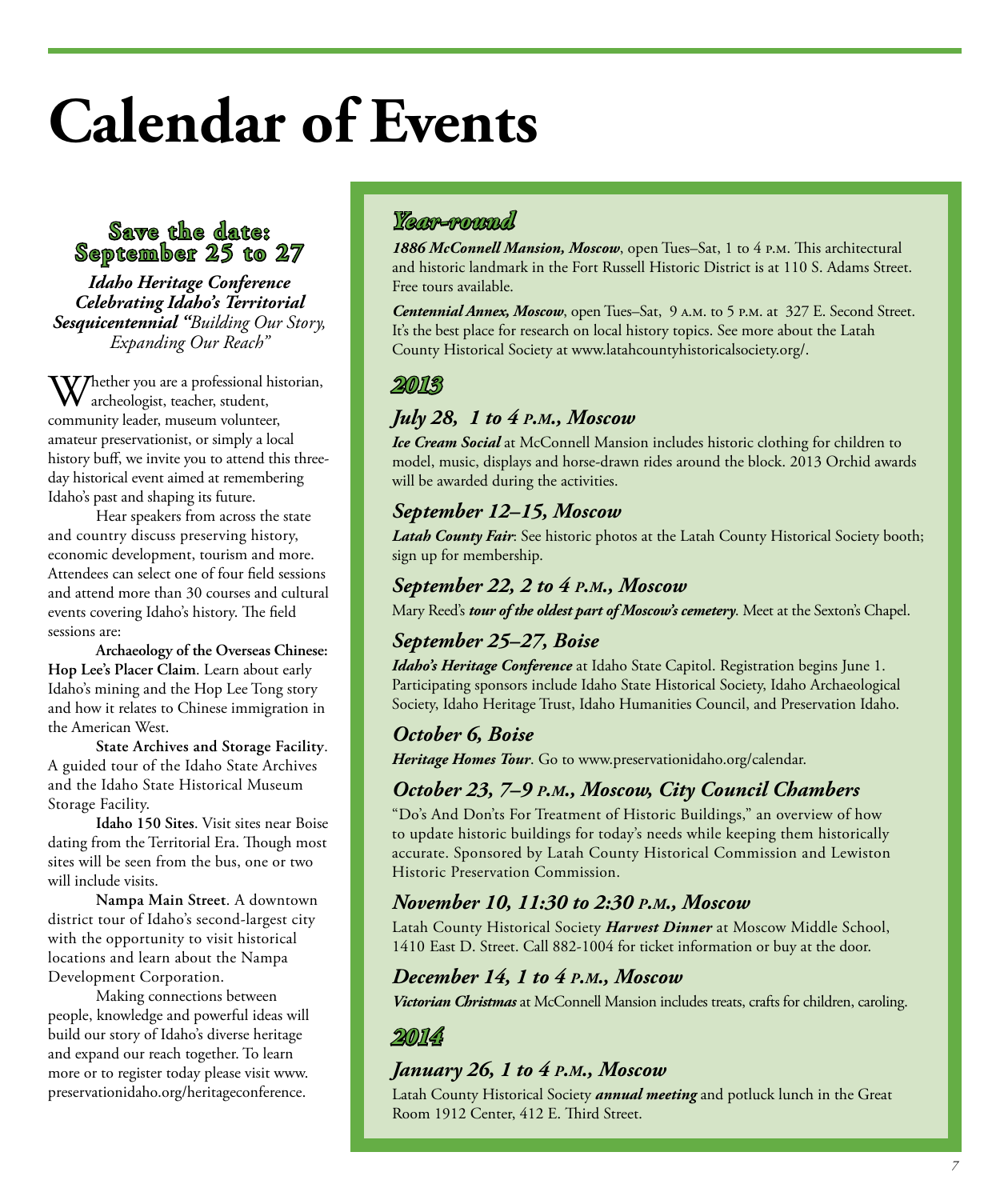## **Calendar of Events**

#### **Save the date: September 25 to 27**

*Idaho Heritage Conference Celebrating Idaho's Territorial Sesquicentennial "Building Our Story, Expanding Our Reach"*

 $V$ Thether you are a professional historian,  $\bm{\mathsf{V}}$  archeologist, teacher, student, community leader, museum volunteer, amateur preservationist, or simply a local history buff, we invite you to attend this threeday historical event aimed at remembering Idaho's past and shaping its future.

Hear speakers from across the state and country discuss preserving history, economic development, tourism and more. Attendees can select one of four field sessions and attend more than 30 courses and cultural events covering Idaho's history. The field sessions are:

**Archaeology of the Overseas Chinese: Hop Lee's Placer Claim**. Learn about early Idaho's mining and the Hop Lee Tong story and how it relates to Chinese immigration in the American West.

**State Archives and Storage Facility**. A guided tour of the Idaho State Archives and the Idaho State Historical Museum Storage Facility.

**Idaho 150 Sites**. Visit sites near Boise dating from the Territorial Era. Though most sites will be seen from the bus, one or two will include visits.

**Nampa Main Street**. A downtown district tour of Idaho's second-largest city with the opportunity to visit historical locations and learn about the Nampa Development Corporation.

Making connections between people, knowledge and powerful ideas will build our story of Idaho's diverse heritage and expand our reach together. To learn more or to register today please visit www. preservationidaho.org/heritageconference.

#### *Year-round*

*1886 McConnell Mansion, Moscow*, open Tues–Sat, 1 to 4 p.m. This architectural and historic landmark in the Fort Russell Historic District is at 110 S. Adams Street. Free tours available.

*Centennial Annex, Moscow*, open Tues–Sat, 9 a.m. to 5 p.m. at 327 E. Second Street. It's the best place for research on local history topics. See more about the Latah County Historical Society at www.latahcountyhistoricalsociety.org/.

#### *2013*

#### *July 28, 1 to 4 p.m., Moscow*

*Ice Cream Social* at McConnell Mansion includes historic clothing for children to model, music, displays and horse-drawn rides around the block. 2013 Orchid awards will be awarded during the activities.

#### *September 12–15, Moscow*

*Latah County Fair*: See historic photos at the Latah County Historical Society booth; sign up for membership.

#### *September 22, 2 to 4 p.m., Moscow*

Mary Reed's *tour of the oldest part of Moscow's cemetery*. Meet at the Sexton's Chapel.

#### *September 25–27, Boise*

*Idaho's Heritage Conference* at Idaho State Capitol. Registration begins June 1. Participating sponsors include Idaho State Historical Society, Idaho Archaeological Society, Idaho Heritage Trust, Idaho Humanities Council, and Preservation Idaho.

#### *October 6, Boise Heritage Homes Tour*. Go to www.preservationidaho.org/calendar.

#### *October 23, 7–9 p.m., Moscow, City Council Chambers*

"Do's And Don'ts For Treatment of Historic Buildings," an overview of how to update historic buildings for today's needs while keeping them historically accurate. Sponsored by Latah County Historical Commission and Lewiston Historic Preservation Commission.

#### *November 10, 11:30 to 2:30 p.m., Moscow*

Latah County Historical Society *Harvest Dinner* at Moscow Middle School, 1410 East D. Street. Call 882-1004 for ticket information or buy at the door.

#### *December 14, 1 to 4 p.m., Moscow*

*Victorian Christmas* at McConnell Mansion includes treats, crafts for children, caroling.

#### *2014*

#### *January 26, 1 to 4 p.m., Moscow*

Latah County Historical Society *annual meeting* and potluck lunch in the Great Room 1912 Center, 412 E. Third Street.